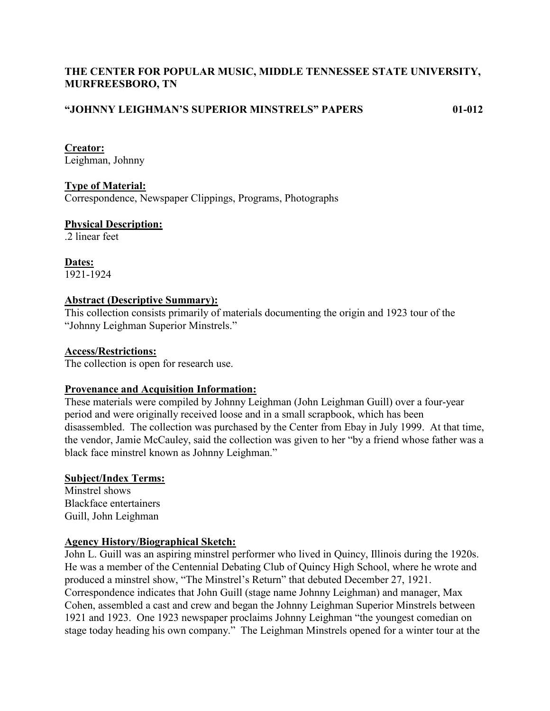# **THE CENTER FOR POPULAR MUSIC, MIDDLE TENNESSEE STATE UNIVERSITY, MURFREESBORO, TN**

# **"JOHNNY LEIGHMAN'S SUPERIOR MINSTRELS" PAPERS 01-012**

**Creator:**

Leighman, Johnny

# **Type of Material:**

Correspondence, Newspaper Clippings, Programs, Photographs

# **Physical Description:**

.2 linear feet

**Dates:** 1921-1924

## **Abstract (Descriptive Summary):**

This collection consists primarily of materials documenting the origin and 1923 tour of the "Johnny Leighman Superior Minstrels."

## **Access/Restrictions:**

The collection is open for research use.

## **Provenance and Acquisition Information:**

These materials were compiled by Johnny Leighman (John Leighman Guill) over a four-year period and were originally received loose and in a small scrapbook, which has been disassembled. The collection was purchased by the Center from Ebay in July 1999. At that time, the vendor, Jamie McCauley, said the collection was given to her "by a friend whose father was a black face minstrel known as Johnny Leighman."

## **Subject/Index Terms:**

Minstrel shows Blackface entertainers Guill, John Leighman

## **Agency History/Biographical Sketch:**

John L. Guill was an aspiring minstrel performer who lived in Quincy, Illinois during the 1920s. He was a member of the Centennial Debating Club of Quincy High School, where he wrote and produced a minstrel show, "The Minstrel's Return" that debuted December 27, 1921. Correspondence indicates that John Guill (stage name Johnny Leighman) and manager, Max Cohen, assembled a cast and crew and began the Johnny Leighman Superior Minstrels between 1921 and 1923. One 1923 newspaper proclaims Johnny Leighman "the youngest comedian on stage today heading his own company." The Leighman Minstrels opened for a winter tour at the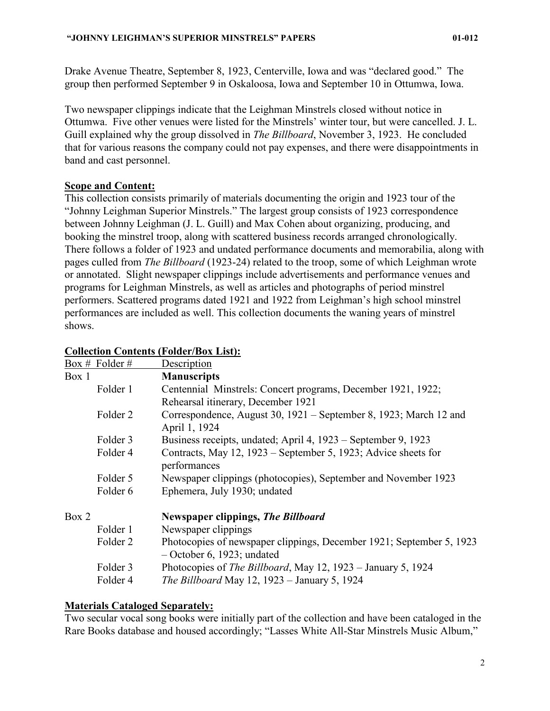Drake Avenue Theatre, September 8, 1923, Centerville, Iowa and was "declared good." The group then performed September 9 in Oskaloosa, Iowa and September 10 in Ottumwa, Iowa.

Two newspaper clippings indicate that the Leighman Minstrels closed without notice in Ottumwa. Five other venues were listed for the Minstrels' winter tour, but were cancelled. J. L. Guill explained why the group dissolved in *The Billboard*, November 3, 1923. He concluded that for various reasons the company could not pay expenses, and there were disappointments in band and cast personnel.

#### **Scope and Content:**

This collection consists primarily of materials documenting the origin and 1923 tour of the "Johnny Leighman Superior Minstrels." The largest group consists of 1923 correspondence between Johnny Leighman (J. L. Guill) and Max Cohen about organizing, producing, and booking the minstrel troop, along with scattered business records arranged chronologically. There follows a folder of 1923 and undated performance documents and memorabilia, along with pages culled from *The Billboard* (1923-24) related to the troop, some of which Leighman wrote or annotated. Slight newspaper clippings include advertisements and performance venues and programs for Leighman Minstrels, as well as articles and photographs of period minstrel performers. Scattered programs dated 1921 and 1922 from Leighman's high school minstrel performances are included as well. This collection documents the waning years of minstrel shows.

|       | Box # Folder # | Description                                                                                          |
|-------|----------------|------------------------------------------------------------------------------------------------------|
| Box 1 |                | <b>Manuscripts</b>                                                                                   |
|       | Folder 1       | Centennial Minstrels: Concert programs, December 1921, 1922;                                         |
|       |                | Rehearsal itinerary, December 1921                                                                   |
|       | Folder 2       | Correspondence, August 30, 1921 – September 8, 1923; March 12 and<br>April 1, 1924                   |
|       | Folder 3       | Business receipts, undated; April 4, 1923 – September 9, 1923                                        |
|       | Folder 4       | Contracts, May 12, 1923 – September 5, 1923; Advice sheets for<br>performances                       |
|       | Folder 5       | Newspaper clippings (photocopies), September and November 1923                                       |
|       | Folder 6       | Ephemera, July 1930; undated                                                                         |
| Box 2 |                | <b>Newspaper clippings, The Billboard</b>                                                            |
|       | Folder 1       | Newspaper clippings                                                                                  |
|       | Folder 2       | Photocopies of newspaper clippings, December 1921; September 5, 1923<br>$-$ October 6, 1923; undated |
|       | Folder 3       | Photocopies of The Billboard, May 12, 1923 – January 5, 1924                                         |
|       | Folder 4       | <i>The Billboard May 12, 1923 – January 5, 1924</i>                                                  |

## **Collection Contents (Folder/Box List):**

#### **Materials Cataloged Separately:**

Two secular vocal song books were initially part of the collection and have been cataloged in the Rare Books database and housed accordingly; "Lasses White All-Star Minstrels Music Album,"